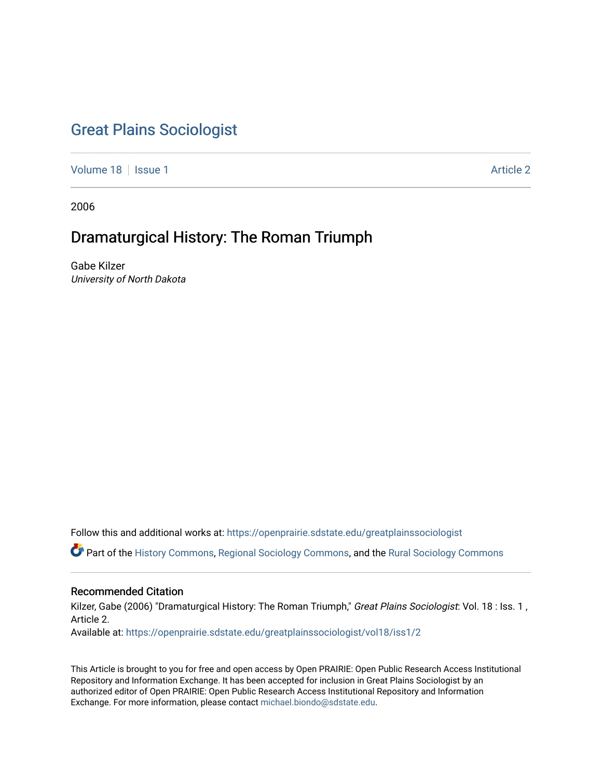# [Great Plains Sociologist](https://openprairie.sdstate.edu/greatplainssociologist)

[Volume 18](https://openprairie.sdstate.edu/greatplainssociologist/vol18) | [Issue 1](https://openprairie.sdstate.edu/greatplainssociologist/vol18/iss1) Article 2

2006

# Dramaturgical History: The Roman Triumph

Gabe Kilzer University of North Dakota

Follow this and additional works at: [https://openprairie.sdstate.edu/greatplainssociologist](https://openprairie.sdstate.edu/greatplainssociologist?utm_source=openprairie.sdstate.edu%2Fgreatplainssociologist%2Fvol18%2Fiss1%2F2&utm_medium=PDF&utm_campaign=PDFCoverPages) 

Part of the [History Commons,](http://network.bepress.com/hgg/discipline/489?utm_source=openprairie.sdstate.edu%2Fgreatplainssociologist%2Fvol18%2Fiss1%2F2&utm_medium=PDF&utm_campaign=PDFCoverPages) [Regional Sociology Commons](http://network.bepress.com/hgg/discipline/427?utm_source=openprairie.sdstate.edu%2Fgreatplainssociologist%2Fvol18%2Fiss1%2F2&utm_medium=PDF&utm_campaign=PDFCoverPages), and the [Rural Sociology Commons](http://network.bepress.com/hgg/discipline/428?utm_source=openprairie.sdstate.edu%2Fgreatplainssociologist%2Fvol18%2Fiss1%2F2&utm_medium=PDF&utm_campaign=PDFCoverPages) 

# Recommended Citation

Kilzer, Gabe (2006) "Dramaturgical History: The Roman Triumph," Great Plains Sociologist: Vol. 18 : Iss. 1, Article 2. Available at: [https://openprairie.sdstate.edu/greatplainssociologist/vol18/iss1/2](https://openprairie.sdstate.edu/greatplainssociologist/vol18/iss1/2?utm_source=openprairie.sdstate.edu%2Fgreatplainssociologist%2Fvol18%2Fiss1%2F2&utm_medium=PDF&utm_campaign=PDFCoverPages)

This Article is brought to you for free and open access by Open PRAIRIE: Open Public Research Access Institutional Repository and Information Exchange. It has been accepted for inclusion in Great Plains Sociologist by an authorized editor of Open PRAIRIE: Open Public Research Access Institutional Repository and Information Exchange. For more information, please contact [michael.biondo@sdstate.edu.](mailto:michael.biondo@sdstate.edu)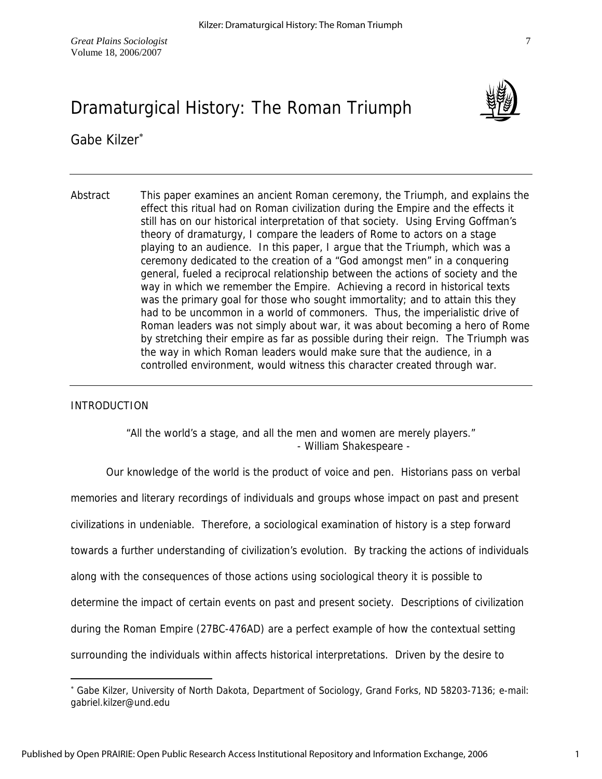# Dramaturgical History: The Roman Triumph



Gabe Kilzer<sup>∗</sup>

Abstract This paper examines an ancient Roman ceremony, the Triumph, and explains the effect this ritual had on Roman civilization during the Empire and the effects it still has on our historical interpretation of that society. Using Erving Goffman's theory of dramaturgy, I compare the leaders of Rome to actors on a stage playing to an audience. In this paper, I argue that the Triumph, which was a ceremony dedicated to the creation of a "God amongst men" in a conquering general, fueled a reciprocal relationship between the actions of society and the way in which we remember the Empire. Achieving a record in historical texts was the primary goal for those who sought immortality; and to attain this they had to be uncommon in a world of commoners. Thus, the imperialistic drive of Roman leaders was not simply about war, it was about becoming a hero of Rome by stretching their empire as far as possible during their reign. The Triumph was the way in which Roman leaders would make sure that the audience, in a controlled environment, would witness this character created through war.

## INTRODUCTION

 $\overline{a}$ 

"All the world's a stage, and all the men and women are merely players." - William Shakespeare -

 Our knowledge of the world is the product of voice and pen. Historians pass on verbal memories and literary recordings of individuals and groups whose impact on past and present civilizations in undeniable. Therefore, a sociological examination of history is a step forward towards a further understanding of civilization's evolution. By tracking the actions of individuals along with the consequences of those actions using sociological theory it is possible to determine the impact of certain events on past and present society. Descriptions of civilization during the Roman Empire (27BC-476AD) are a perfect example of how the contextual setting surrounding the individuals within affects historical interpretations. Driven by the desire to

<sup>∗</sup> Gabe Kilzer, University of North Dakota, Department of Sociology, Grand Forks, ND 58203-7136; e-mail: gabriel.kilzer@und.edu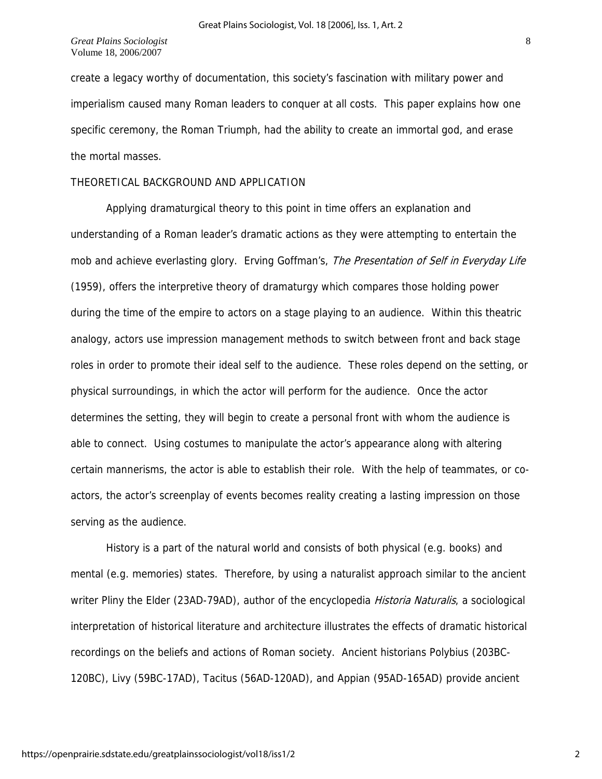create a legacy worthy of documentation, this society's fascination with military power and imperialism caused many Roman leaders to conquer at all costs. This paper explains how one specific ceremony, the Roman Triumph, had the ability to create an immortal god, and erase the mortal masses.

#### THEORETICAL BACKGROUND AND APPLICATION

 Applying dramaturgical theory to this point in time offers an explanation and understanding of a Roman leader's dramatic actions as they were attempting to entertain the mob and achieve everlasting glory. Erving Goffman's, The Presentation of Self in Everyday Life (1959), offers the interpretive theory of dramaturgy which compares those holding power during the time of the empire to actors on a stage playing to an audience. Within this theatric analogy, actors use impression management methods to switch between front and back stage roles in order to promote their ideal self to the audience. These roles depend on the setting, or physical surroundings, in which the actor will perform for the audience. Once the actor determines the setting, they will begin to create a personal front with whom the audience is able to connect. Using costumes to manipulate the actor's appearance along with altering certain mannerisms, the actor is able to establish their role. With the help of teammates, or coactors, the actor's screenplay of events becomes reality creating a lasting impression on those serving as the audience.

 History is a part of the natural world and consists of both physical (e.g. books) and mental (e.g. memories) states. Therefore, by using a naturalist approach similar to the ancient writer Pliny the Elder (23AD-79AD), author of the encyclopedia Historia Naturalis, a sociological interpretation of historical literature and architecture illustrates the effects of dramatic historical recordings on the beliefs and actions of Roman society. Ancient historians Polybius (203BC-120BC), Livy (59BC-17AD), Tacitus (56AD-120AD), and Appian (95AD-165AD) provide ancient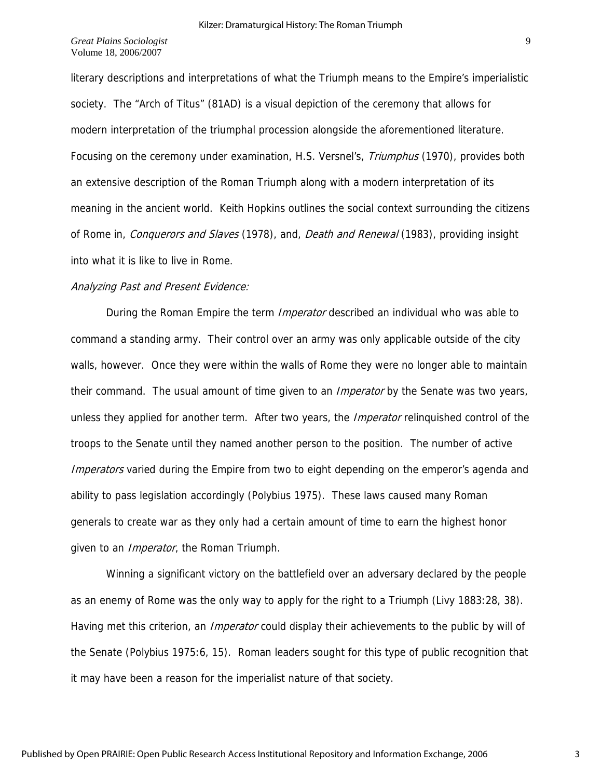literary descriptions and interpretations of what the Triumph means to the Empire's imperialistic society. The "Arch of Titus" (81AD) is a visual depiction of the ceremony that allows for modern interpretation of the triumphal procession alongside the aforementioned literature. Focusing on the ceremony under examination, H.S. Versnel's, Triumphus (1970), provides both an extensive description of the Roman Triumph along with a modern interpretation of its meaning in the ancient world. Keith Hopkins outlines the social context surrounding the citizens of Rome in, Conquerors and Slaves (1978), and, Death and Renewal (1983), providing insight into what it is like to live in Rome.

## Analyzing Past and Present Evidence:

During the Roman Empire the term *Imperator* described an individual who was able to command a standing army. Their control over an army was only applicable outside of the city walls, however. Once they were within the walls of Rome they were no longer able to maintain their command. The usual amount of time given to an *Imperator* by the Senate was two years, unless they applied for another term. After two years, the *Imperator* relinquished control of the troops to the Senate until they named another person to the position. The number of active *Imperators* varied during the Empire from two to eight depending on the emperor's agenda and ability to pass legislation accordingly (Polybius 1975). These laws caused many Roman generals to create war as they only had a certain amount of time to earn the highest honor given to an *Imperator*, the Roman Triumph.

 Winning a significant victory on the battlefield over an adversary declared by the people as an enemy of Rome was the only way to apply for the right to a Triumph (Livy 1883:28, 38). Having met this criterion, an *Imperator* could display their achievements to the public by will of the Senate (Polybius 1975:6, 15). Roman leaders sought for this type of public recognition that it may have been a reason for the imperialist nature of that society.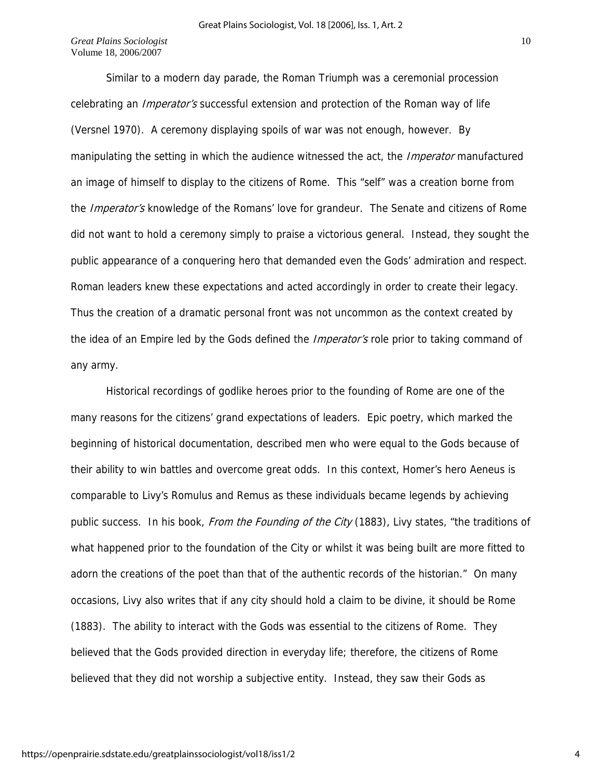Similar to a modern day parade, the Roman Triumph was a ceremonial procession celebrating an *Imperator's* successful extension and protection of the Roman way of life (Versnel 1970). A ceremony displaying spoils of war was not enough, however. By manipulating the setting in which the audience witnessed the act, the *Imperator* manufactured an image of himself to display to the citizens of Rome. This "self" was a creation borne from the *Imperator's* knowledge of the Romans' love for grandeur. The Senate and citizens of Rome did not want to hold a ceremony simply to praise a victorious general. Instead, they sought the public appearance of a conquering hero that demanded even the Gods' admiration and respect. Roman leaders knew these expectations and acted accordingly in order to create their legacy. Thus the creation of a dramatic personal front was not uncommon as the context created by the idea of an Empire led by the Gods defined the *Imperator's* role prior to taking command of any army.

 Historical recordings of godlike heroes prior to the founding of Rome are one of the many reasons for the citizens' grand expectations of leaders. Epic poetry, which marked the beginning of historical documentation, described men who were equal to the Gods because of their ability to win battles and overcome great odds. In this context, Homer's hero Aeneus is comparable to Livy's Romulus and Remus as these individuals became legends by achieving public success. In his book, From the Founding of the City (1883), Livy states, "the traditions of what happened prior to the foundation of the City or whilst it was being built are more fitted to adorn the creations of the poet than that of the authentic records of the historian." On many occasions, Livy also writes that if any city should hold a claim to be divine, it should be Rome (1883). The ability to interact with the Gods was essential to the citizens of Rome. They believed that the Gods provided direction in everyday life; therefore, the citizens of Rome believed that they did not worship a subjective entity. Instead, they saw their Gods as

10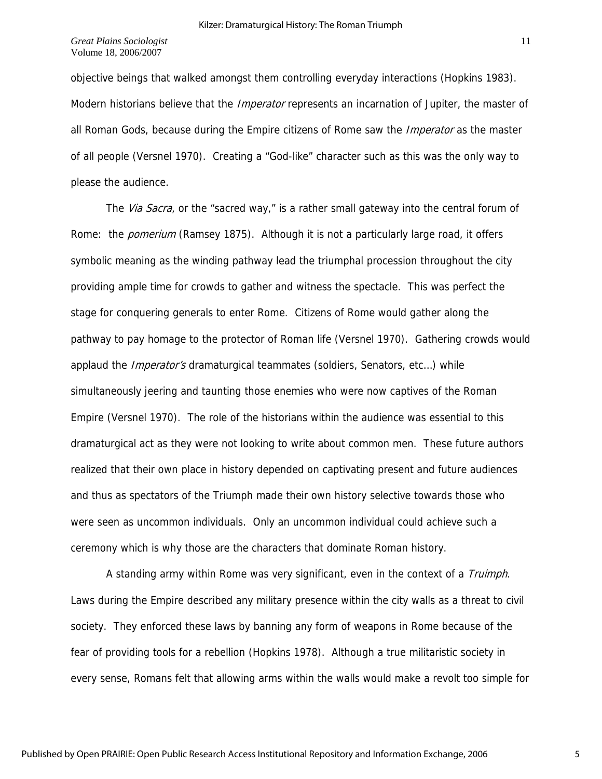objective beings that walked amongst them controlling everyday interactions (Hopkins 1983). Modern historians believe that the *Imperator* represents an incarnation of Jupiter, the master of all Roman Gods, because during the Empire citizens of Rome saw the *Imperator* as the master of all people (Versnel 1970). Creating a "God-like" character such as this was the only way to please the audience.

The *Via Sacra*, or the "sacred way," is a rather small gateway into the central forum of Rome: the *pomerium* (Ramsey 1875). Although it is not a particularly large road, it offers symbolic meaning as the winding pathway lead the triumphal procession throughout the city providing ample time for crowds to gather and witness the spectacle. This was perfect the stage for conquering generals to enter Rome. Citizens of Rome would gather along the pathway to pay homage to the protector of Roman life (Versnel 1970). Gathering crowds would applaud the *Imperator's* dramaturgical teammates (soldiers, Senators, etc...) while simultaneously jeering and taunting those enemies who were now captives of the Roman Empire (Versnel 1970). The role of the historians within the audience was essential to this dramaturgical act as they were not looking to write about common men. These future authors realized that their own place in history depended on captivating present and future audiences and thus as spectators of the Triumph made their own history selective towards those who were seen as uncommon individuals. Only an uncommon individual could achieve such a ceremony which is why those are the characters that dominate Roman history.

A standing army within Rome was very significant, even in the context of a Truimph. Laws during the Empire described any military presence within the city walls as a threat to civil society. They enforced these laws by banning any form of weapons in Rome because of the fear of providing tools for a rebellion (Hopkins 1978). Although a true militaristic society in every sense, Romans felt that allowing arms within the walls would make a revolt too simple for

5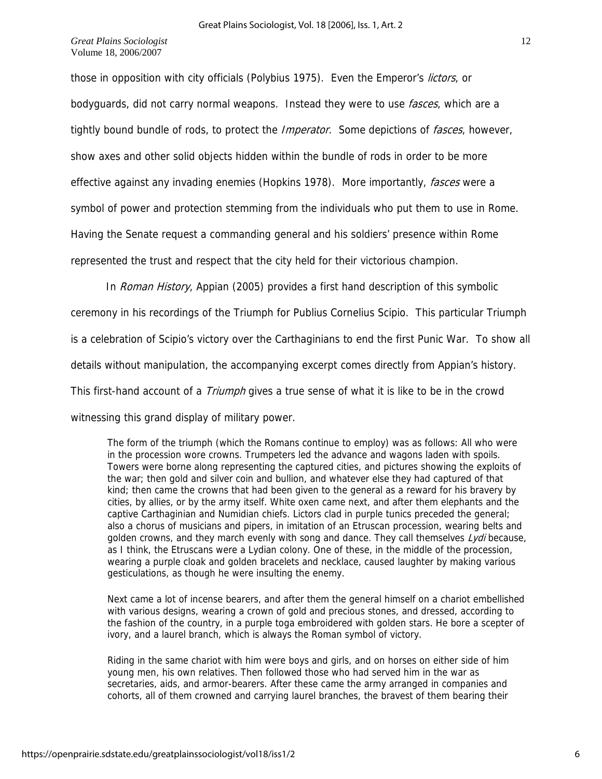those in opposition with city officials (Polybius 1975). Even the Emperor's lictors, or bodyguards, did not carry normal weapons. Instead they were to use *fasces*, which are a tightly bound bundle of rods, to protect the *Imperator*. Some depictions of *fasces*, however, show axes and other solid objects hidden within the bundle of rods in order to be more effective against any invading enemies (Hopkins 1978). More importantly, *fasces* were a symbol of power and protection stemming from the individuals who put them to use in Rome. Having the Senate request a commanding general and his soldiers' presence within Rome represented the trust and respect that the city held for their victorious champion.

In Roman History, Appian (2005) provides a first hand description of this symbolic ceremony in his recordings of the Triumph for Publius Cornelius Scipio. This particular Triumph is a celebration of Scipio's victory over the Carthaginians to end the first Punic War. To show all details without manipulation, the accompanying excerpt comes directly from Appian's history. This first-hand account of a *Triumph* gives a true sense of what it is like to be in the crowd witnessing this grand display of military power.

The form of the triumph (which the Romans continue to employ) was as follows: All who were in the procession wore crowns. Trumpeters led the advance and wagons laden with spoils. Towers were borne along representing the captured cities, and pictures showing the exploits of the war; then gold and silver coin and bullion, and whatever else they had captured of that kind; then came the crowns that had been given to the general as a reward for his bravery by cities, by allies, or by the army itself. White oxen came next, and after them elephants and the captive Carthaginian and Numidian chiefs. Lictors clad in purple tunics preceded the general; also a chorus of musicians and pipers, in imitation of an Etruscan procession, wearing belts and golden crowns, and they march evenly with song and dance. They call themselves  $Lydi$  because, as I think, the Etruscans were a Lydian colony. One of these, in the middle of the procession, wearing a purple cloak and golden bracelets and necklace, caused laughter by making various gesticulations, as though he were insulting the enemy.

Next came a lot of incense bearers, and after them the general himself on a chariot embellished with various designs, wearing a crown of gold and precious stones, and dressed, according to the fashion of the country, in a purple toga embroidered with golden stars. He bore a scepter of ivory, and a laurel branch, which is always the Roman symbol of victory.

Riding in the same chariot with him were boys and girls, and on horses on either side of him young men, his own relatives. Then followed those who had served him in the war as secretaries, aids, and armor-bearers. After these came the army arranged in companies and cohorts, all of them crowned and carrying laurel branches, the bravest of them bearing their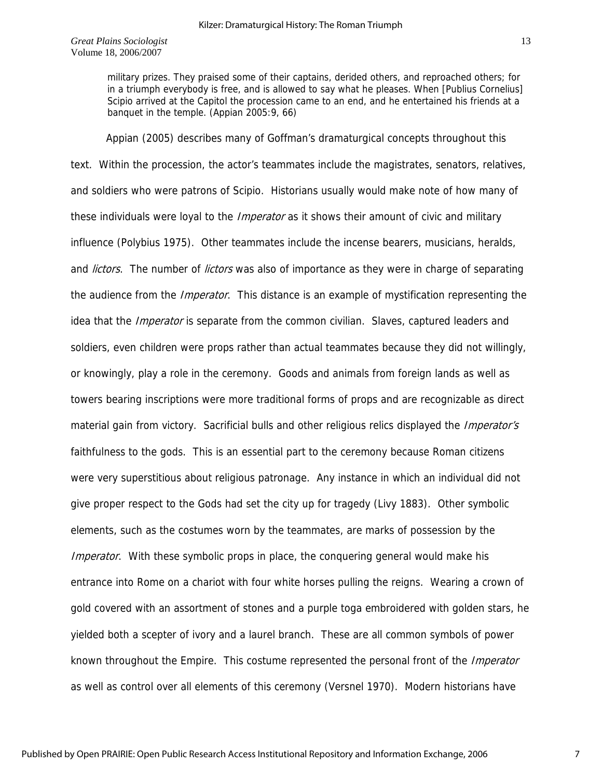military prizes. They praised some of their captains, derided others, and reproached others; for in a triumph everybody is free, and is allowed to say what he pleases. When [Publius Cornelius] Scipio arrived at the Capitol the procession came to an end, and he entertained his friends at a banquet in the temple. (Appian 2005:9, 66)

 Appian (2005) describes many of Goffman's dramaturgical concepts throughout this text. Within the procession, the actor's teammates include the magistrates, senators, relatives, and soldiers who were patrons of Scipio. Historians usually would make note of how many of these individuals were loyal to the *Imperator* as it shows their amount of civic and military influence (Polybius 1975). Other teammates include the incense bearers, musicians, heralds, and *lictors*. The number of *lictors* was also of importance as they were in charge of separating the audience from the *Imperator*. This distance is an example of mystification representing the idea that the *Imperator* is separate from the common civilian. Slaves, captured leaders and soldiers, even children were props rather than actual teammates because they did not willingly, or knowingly, play a role in the ceremony. Goods and animals from foreign lands as well as towers bearing inscriptions were more traditional forms of props and are recognizable as direct material gain from victory. Sacrificial bulls and other religious relics displayed the *Imperator's* faithfulness to the gods. This is an essential part to the ceremony because Roman citizens were very superstitious about religious patronage. Any instance in which an individual did not give proper respect to the Gods had set the city up for tragedy (Livy 1883). Other symbolic elements, such as the costumes worn by the teammates, are marks of possession by the *Imperator*. With these symbolic props in place, the conquering general would make his entrance into Rome on a chariot with four white horses pulling the reigns. Wearing a crown of gold covered with an assortment of stones and a purple toga embroidered with golden stars, he yielded both a scepter of ivory and a laurel branch. These are all common symbols of power known throughout the Empire. This costume represented the personal front of the *Imperator* as well as control over all elements of this ceremony (Versnel 1970). Modern historians have

7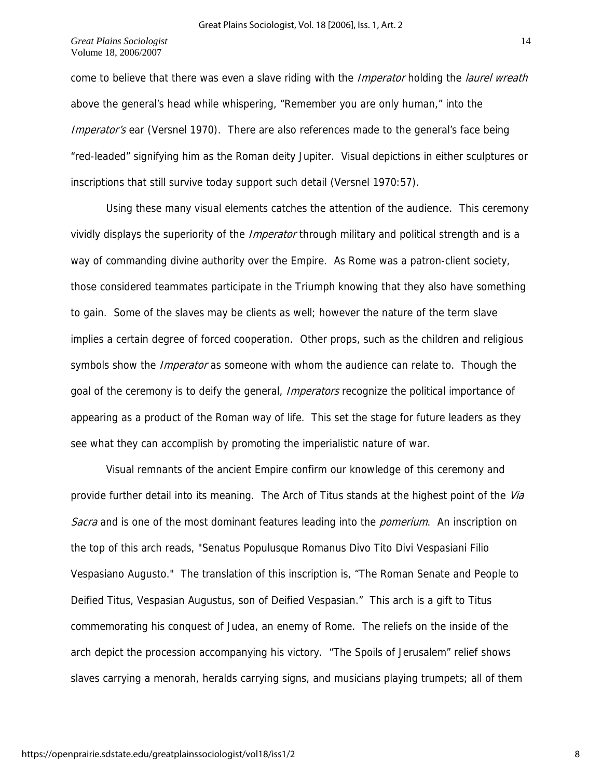come to believe that there was even a slave riding with the *Imperator* holding the *laurel wreath* above the general's head while whispering, "Remember you are only human," into the Imperator's ear (Versnel 1970). There are also references made to the general's face being "red-leaded" signifying him as the Roman deity Jupiter. Visual depictions in either sculptures or inscriptions that still survive today support such detail (Versnel 1970:57).

 Using these many visual elements catches the attention of the audience. This ceremony vividly displays the superiority of the *Imperator* through military and political strength and is a way of commanding divine authority over the Empire. As Rome was a patron-client society, those considered teammates participate in the Triumph knowing that they also have something to gain. Some of the slaves may be clients as well; however the nature of the term slave implies a certain degree of forced cooperation. Other props, such as the children and religious symbols show the *Imperator* as someone with whom the audience can relate to. Though the goal of the ceremony is to deify the general, *Imperators* recognize the political importance of appearing as a product of the Roman way of life. This set the stage for future leaders as they see what they can accomplish by promoting the imperialistic nature of war.

 Visual remnants of the ancient Empire confirm our knowledge of this ceremony and provide further detail into its meaning. The Arch of Titus stands at the highest point of the Via Sacra and is one of the most dominant features leading into the *pomerium*. An inscription on the top of this arch reads, "Senatus Populusque Romanus Divo Tito Divi Vespasiani Filio Vespasiano Augusto." The translation of this inscription is, "The Roman Senate and People to Deified Titus, Vespasian Augustus, son of Deified Vespasian." This arch is a gift to Titus commemorating his conquest of Judea, an enemy of Rome. The reliefs on the inside of the arch depict the procession accompanying his victory. "The Spoils of Jerusalem" relief shows slaves carrying a menorah, heralds carrying signs, and musicians playing trumpets; all of them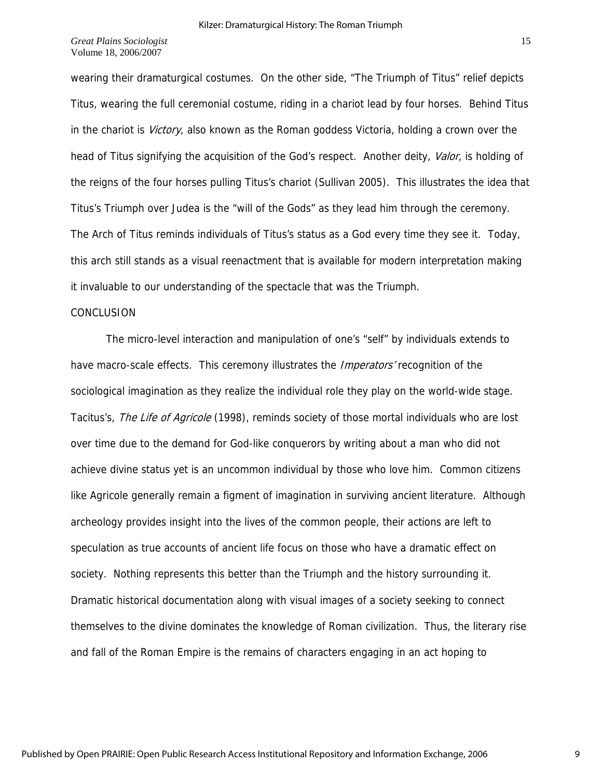wearing their dramaturgical costumes. On the other side, "The Triumph of Titus" relief depicts Titus, wearing the full ceremonial costume, riding in a chariot lead by four horses. Behind Titus in the chariot is *Victory*, also known as the Roman goddess Victoria, holding a crown over the head of Titus signifying the acquisition of the God's respect. Another deity, *Valor*, is holding of the reigns of the four horses pulling Titus's chariot (Sullivan 2005). This illustrates the idea that Titus's Triumph over Judea is the "will of the Gods" as they lead him through the ceremony. The Arch of Titus reminds individuals of Titus's status as a God every time they see it. Today, this arch still stands as a visual reenactment that is available for modern interpretation making it invaluable to our understanding of the spectacle that was the Triumph.

#### **CONCLUSION**

 The micro-level interaction and manipulation of one's "self" by individuals extends to have macro-scale effects. This ceremony illustrates the *Imperators'* recognition of the sociological imagination as they realize the individual role they play on the world-wide stage. Tacitus's, The Life of Agricole (1998), reminds society of those mortal individuals who are lost over time due to the demand for God-like conquerors by writing about a man who did not achieve divine status yet is an uncommon individual by those who love him. Common citizens like Agricole generally remain a figment of imagination in surviving ancient literature. Although archeology provides insight into the lives of the common people, their actions are left to speculation as true accounts of ancient life focus on those who have a dramatic effect on society. Nothing represents this better than the Triumph and the history surrounding it. Dramatic historical documentation along with visual images of a society seeking to connect themselves to the divine dominates the knowledge of Roman civilization. Thus, the literary rise and fall of the Roman Empire is the remains of characters engaging in an act hoping to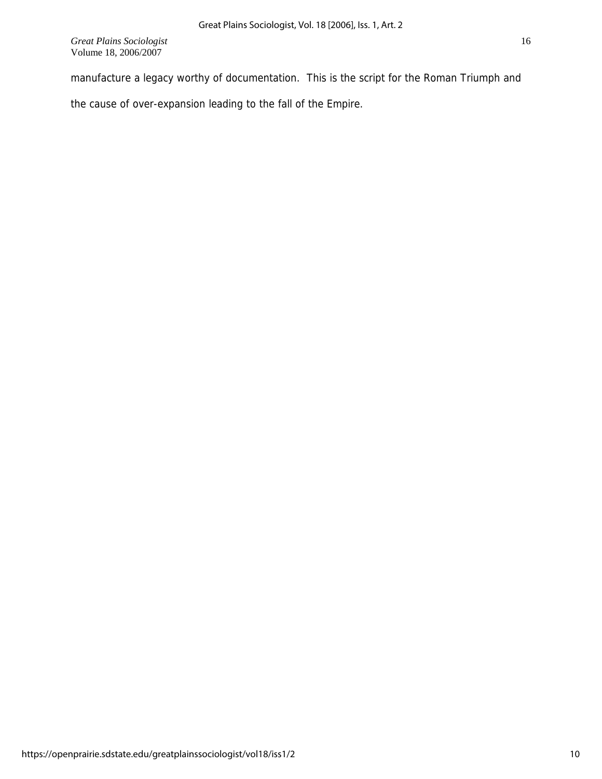manufacture a legacy worthy of documentation. This is the script for the Roman Triumph and

the cause of over-expansion leading to the fall of the Empire.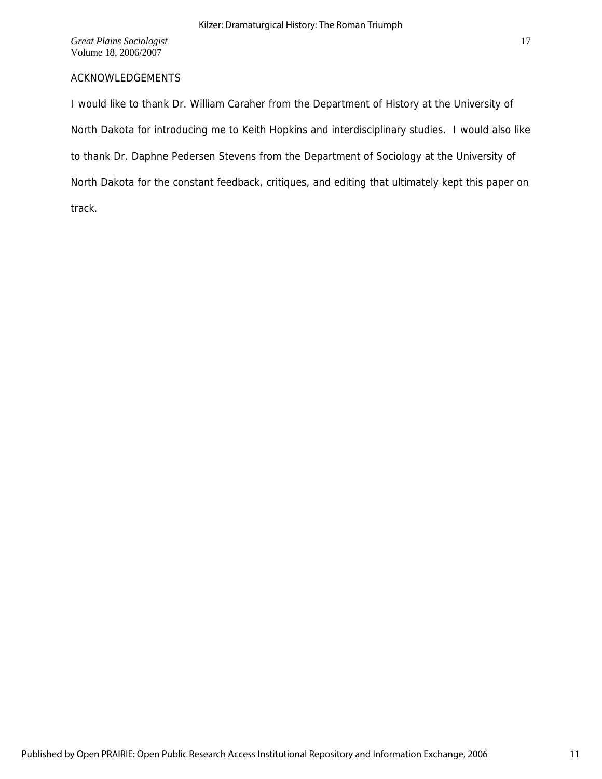# ACKNOWLEDGEMENTS

I would like to thank Dr. William Caraher from the Department of History at the University of North Dakota for introducing me to Keith Hopkins and interdisciplinary studies. I would also like to thank Dr. Daphne Pedersen Stevens from the Department of Sociology at the University of North Dakota for the constant feedback, critiques, and editing that ultimately kept this paper on track.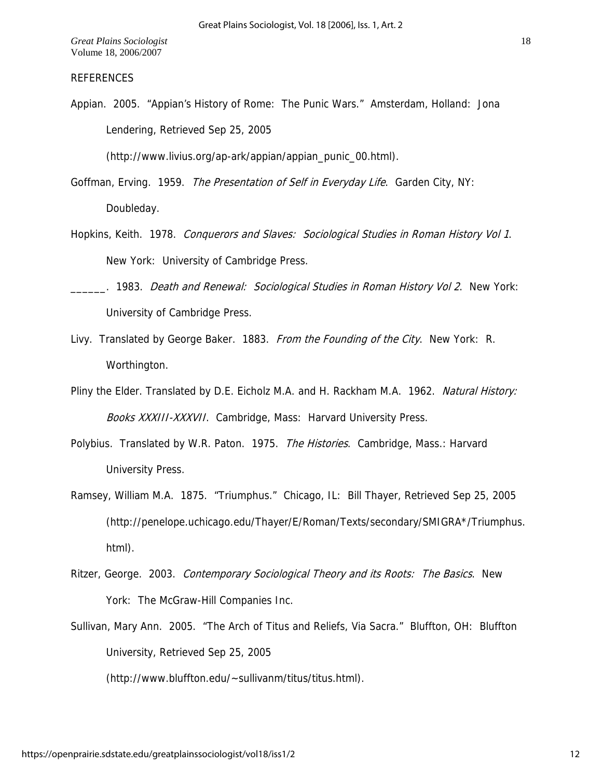# REFERENCES

Appian. 2005. "Appian's History of Rome: The Punic Wars." Amsterdam, Holland: Jona Lendering, Retrieved Sep 25, 2005

(http://www.livius.org/ap-ark/appian/appian\_punic\_00.html).

Goffman, Erving. 1959. The Presentation of Self in Everyday Life. Garden City, NY: Doubleday.

- Hopkins, Keith. 1978. Conquerors and Slaves: Sociological Studies in Roman History Vol 1. New York: University of Cambridge Press.
- Letter 1983. Death and Renewal: Sociological Studies in Roman History Vol 2. New York: University of Cambridge Press.
- Livy. Translated by George Baker. 1883. From the Founding of the City. New York: R. Worthington.
- Books XXXIII-XXXVII. Cambridge, Mass: Harvard University Press. Pliny the Elder. Translated by D.E. Eicholz M.A. and H. Rackham M.A. 1962. Natural History:
- Polybius. Translated by W.R. Paton. 1975. The Histories. Cambridge, Mass.: Harvard University Press.
- Ramsey, William M.A. 1875. "Triumphus." Chicago, IL: Bill Thayer, Retrieved Sep 25, 2005 (http://penelope.uchicago.edu/Thayer/E/Roman/Texts/secondary/SMIGRA\*/Triumphus. html).
- Ritzer, George. 2003. Contemporary Sociological Theory and its Roots: The Basics. New York: The McGraw-Hill Companies Inc.
- Sullivan, Mary Ann. 2005. "The Arch of Titus and Reliefs, Via Sacra." Bluffton, OH: Bluffton University, Retrieved Sep 25, 2005

(http://www.bluffton.edu/~sullivanm/titus/titus.html).